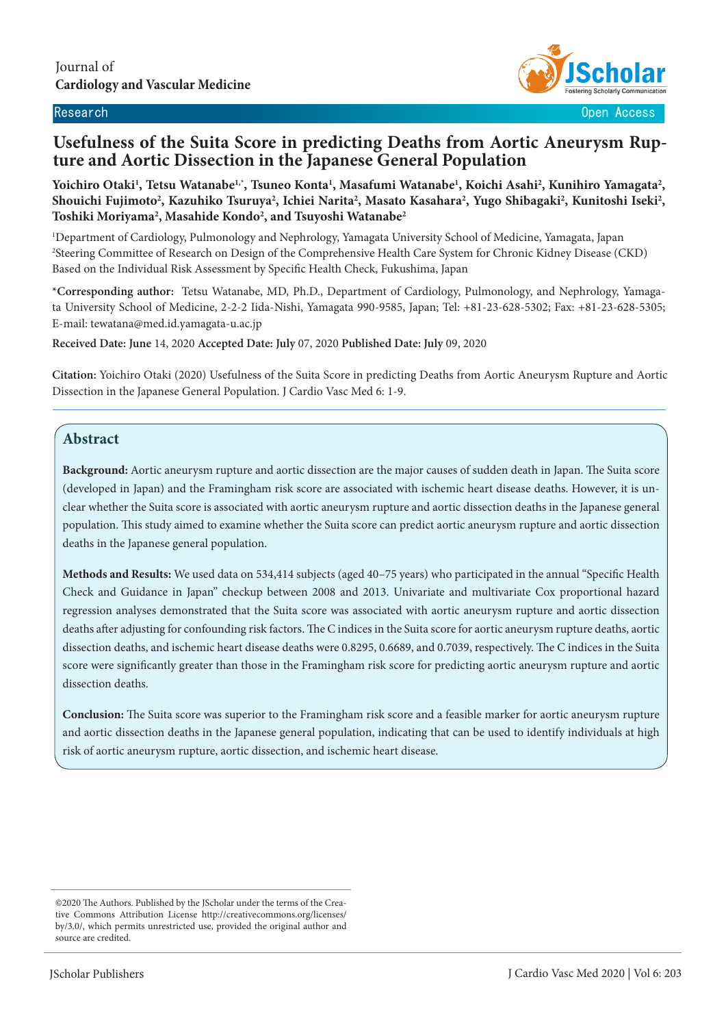

Research Open Access

# **Usefulness of the Suita Score in predicting Deaths from Aortic Aneurysm Rup- ture and Aortic Dissection in the Japanese General Population**

Yoichiro Otaki<sup>1</sup>, Tetsu Watanabe<sup>1,\*</sup>, Tsuneo Konta<sup>1</sup>, Masafumi Watanabe<sup>1</sup>, Koichi Asahi<sup>2</sup>, Kunihiro Yamagata<sup>2</sup>, Shouichi Fujimoto<sup>2</sup>, Kazuhiko Tsuruya<sup>2</sup>, Ichiei Narita<sup>2</sup>, Masato Kasahara<sup>2</sup>, Yugo Shibagaki<sup>2</sup>, Kunitoshi Iseki<sup>2</sup>, **Toshiki Moriyama2 , Masahide Kondo2 , and Tsuyoshi Watanabe2**

1 Department of Cardiology, Pulmonology and Nephrology, Yamagata University School of Medicine, Yamagata, Japan 2 Steering Committee of Research on Design of the Comprehensive Health Care System for Chronic Kidney Disease (CKD) Based on the Individual Risk Assessment by Specific Health Check, Fukushima, Japan

**\*Corresponding author:** Tetsu Watanabe, MD, Ph.D., Department of Cardiology, Pulmonology, and Nephrology, Yamagata University School of Medicine, 2-2-2 Iida-Nishi, Yamagata 990-9585, Japan; Tel: +81-23-628-5302; Fax: +81-23-628-5305; E-mail: tewatana@med.id.yamagata-u.ac.jp

**Received Date: June** 14, 2020 **Accepted Date: July** 07, 2020 **Published Date: July** 09, 2020

**Citation:** Yoichiro Otaki (2020) Usefulness of the Suita Score in predicting Deaths from Aortic Aneurysm Rupture and Aortic Dissection in the Japanese General Population. J Cardio Vasc Med 6: 1-9.

## **Abstract**

 $\overline{\phantom{a}}$ 

**Background:** Aortic aneurysm rupture and aortic dissection are the major causes of sudden death in Japan. The Suita score (developed in Japan) and the Framingham risk score are associated with ischemic heart disease deaths. However, it is unclear whether the Suita score is associated with aortic aneurysm rupture and aortic dissection deaths in the Japanese general population. This study aimed to examine whether the Suita score can predict aortic aneurysm rupture and aortic dissection deaths in the Japanese general population.

**Methods and Results:** We used data on 534,414 subjects (aged 40–75 years) who participated in the annual "Specific Health Check and Guidance in Japan" checkup between 2008 and 2013. Univariate and multivariate Cox proportional hazard regression analyses demonstrated that the Suita score was associated with aortic aneurysm rupture and aortic dissection deaths after adjusting for confounding risk factors. The C indices in the Suita score for aortic aneurysm rupture deaths, aortic dissection deaths, and ischemic heart disease deaths were 0.8295, 0.6689, and 0.7039, respectively. The C indices in the Suita score were significantly greater than those in the Framingham risk score for predicting aortic aneurysm rupture and aortic dissection deaths.

**Conclusion:** The Suita score was superior to the Framingham risk score and a feasible marker for aortic aneurysm rupture and aortic dissection deaths in the Japanese general population, indicating that can be used to identify individuals at high risk of aortic aneurysm rupture, aortic dissection, and ischemic heart disease.

<sup>©2020</sup> The Authors. Published by the JScholar under the terms of the Creative Commons Attribution License http://creativecommons.org/licenses/ by/3.0/, which permits unrestricted use, provided the original author and source are credited.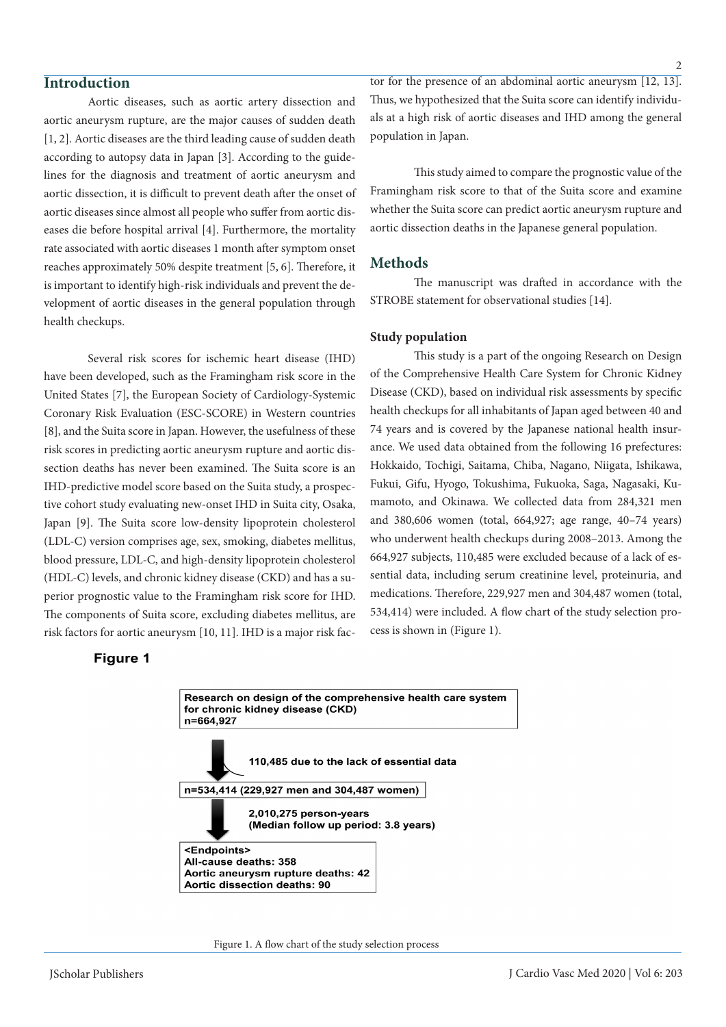## **Introduction**

Aortic diseases, such as aortic artery dissection and aortic aneurysm rupture, are the major causes of sudden death [1, 2]. Aortic diseases are the third leading cause of sudden death according to autopsy data in Japan [3]. According to the guidelines for the diagnosis and treatment of aortic aneurysm and aortic dissection, it is difficult to prevent death after the onset of aortic diseases since almost all people who suffer from aortic diseases die before hospital arrival [4]. Furthermore, the mortality rate associated with aortic diseases 1 month after symptom onset reaches approximately 50% despite treatment [5, 6]. Therefore, it is important to identify high-risk individuals and prevent the development of aortic diseases in the general population through health checkups.

Several risk scores for ischemic heart disease (IHD) have been developed, such as the Framingham risk score in the United States [7], the European Society of Cardiology-Systemic Coronary Risk Evaluation (ESC-SCORE) in Western countries [8], and the Suita score in Japan. However, the usefulness of these risk scores in predicting aortic aneurysm rupture and aortic dissection deaths has never been examined. The Suita score is an IHD-predictive model score based on the Suita study, a prospective cohort study evaluating new-onset IHD in Suita city, Osaka, Japan [9]. The Suita score low-density lipoprotein cholesterol (LDL-C) version comprises age, sex, smoking, diabetes mellitus, blood pressure, LDL-C, and high-density lipoprotein cholesterol (HDL-C) levels, and chronic kidney disease (CKD) and has a superior prognostic value to the Framingham risk score for IHD. The components of Suita score, excluding diabetes mellitus, are risk factors for aortic aneurysm [10, 11]. IHD is a major risk fac-

## **Figure 1**

Research on design of the comprehensive health care system for chronic kidney disease (CKD) n=664,927 110,485 due to the lack of essential data n=534,414 (229,927 men and 304,487 women) 2,010,275 person-years (Median follow up period: 3.8 years) <Endpoints> All-cause deaths: 358 Aortic aneurysm rupture deaths: 42 Aortic dissection deaths: 90



tor for the presence of an abdominal aortic aneurysm [12, 13]. Thus, we hypothesized that the Suita score can identify individuals at a high risk of aortic diseases and IHD among the general population in Japan.

This study aimed to compare the prognostic value of the Framingham risk score to that of the Suita score and examine whether the Suita score can predict aortic aneurysm rupture and aortic dissection deaths in the Japanese general population.

## **Methods**

The manuscript was drafted in accordance with the STROBE statement for observational studies [14].

## **Study population**

This study is a part of the ongoing Research on Design of the Comprehensive Health Care System for Chronic Kidney Disease (CKD), based on individual risk assessments by specific health checkups for all inhabitants of Japan aged between 40 and 74 years and is covered by the Japanese national health insurance. We used data obtained from the following 16 prefectures: Hokkaido, Tochigi, Saitama, Chiba, Nagano, Niigata, Ishikawa, Fukui, Gifu, Hyogo, Tokushima, Fukuoka, Saga, Nagasaki, Kumamoto, and Okinawa. We collected data from 284,321 men and 380,606 women (total, 664,927; age range, 40–74 years) who underwent health checkups during 2008–2013. Among the 664,927 subjects, 110,485 were excluded because of a lack of essential data, including serum creatinine level, proteinuria, and medications. Therefore, 229,927 men and 304,487 women (total, 534,414) were included. A flow chart of the study selection process is shown in (Figure 1).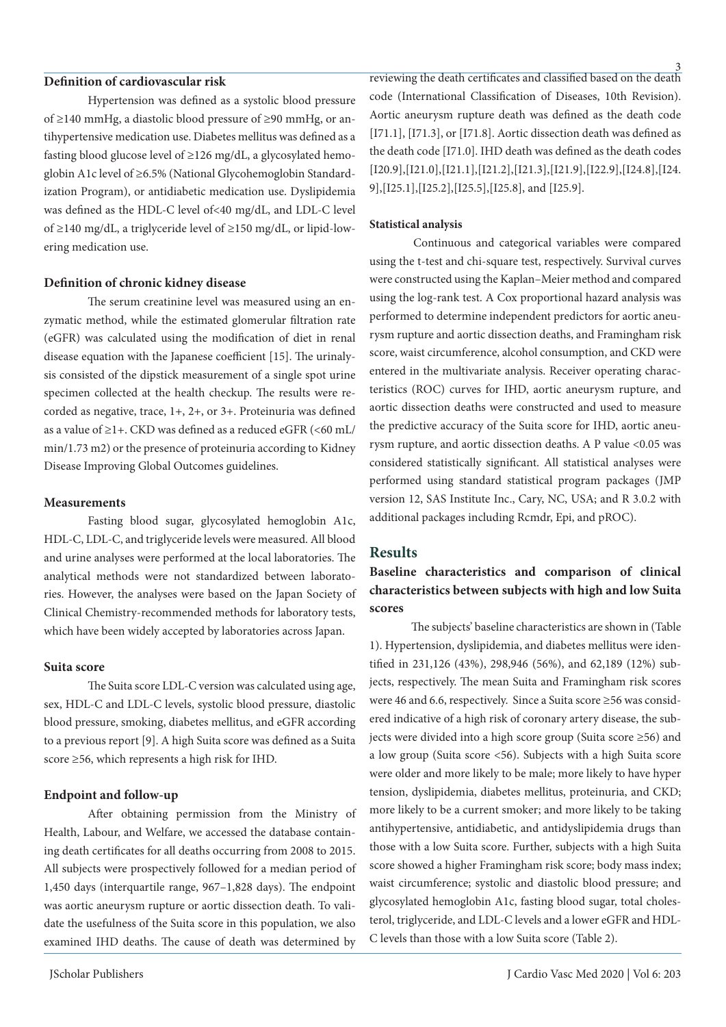## **Definition of cardiovascular risk**

Hypertension was defined as a systolic blood pressure of ≥140 mmHg, a diastolic blood pressure of ≥90 mmHg, or antihypertensive medication use. Diabetes mellitus was defined as a fasting blood glucose level of ≥126 mg/dL, a glycosylated hemoglobin A1c level of ≥6.5% (National Glycohemoglobin Standardization Program), or antidiabetic medication use. Dyslipidemia was defined as the HDL-C level of<40 mg/dL, and LDL-C level of ≥140 mg/dL, a triglyceride level of ≥150 mg/dL, or lipid-lowering medication use.

#### **Definition of chronic kidney disease**

The serum creatinine level was measured using an enzymatic method, while the estimated glomerular filtration rate (eGFR) was calculated using the modification of diet in renal disease equation with the Japanese coefficient [15]. The urinalysis consisted of the dipstick measurement of a single spot urine specimen collected at the health checkup. The results were recorded as negative, trace, 1+, 2+, or 3+. Proteinuria was defined as a value of  $\geq$ 1+. CKD was defined as a reduced eGFR (<60 mL/ min/1.73 m2) or the presence of proteinuria according to Kidney Disease Improving Global Outcomes guidelines.

## **Measurements**

Fasting blood sugar, glycosylated hemoglobin A1c, HDL-C, LDL-C, and triglyceride levels were measured. All blood and urine analyses were performed at the local laboratories. The analytical methods were not standardized between laboratories. However, the analyses were based on the Japan Society of Clinical Chemistry-recommended methods for laboratory tests, which have been widely accepted by laboratories across Japan.

## **Suita score**

The Suita score LDL-C version was calculated using age, sex, HDL-C and LDL-C levels, systolic blood pressure, diastolic blood pressure, smoking, diabetes mellitus, and eGFR according to a previous report [9]. A high Suita score was defined as a Suita score ≥56, which represents a high risk for IHD.

## **Endpoint and follow-up**

After obtaining permission from the Ministry of Health, Labour, and Welfare, we accessed the database containing death certificates for all deaths occurring from 2008 to 2015. All subjects were prospectively followed for a median period of 1,450 days (interquartile range, 967–1,828 days). The endpoint was aortic aneurysm rupture or aortic dissection death. To validate the usefulness of the Suita score in this population, we also examined IHD deaths. The cause of death was determined by

reviewing the death certificates and classified based on the death code (International Classification of Diseases, 10th Revision). Aortic aneurysm rupture death was defined as the death code [I71.1], [I71.3], or [I71.8]. Aortic dissection death was defined as the death code [I71.0]. IHD death was defined as the death codes [I20.9],[I21.0],[I21.1],[I21.2],[I21.3],[I21.9],[I22.9],[I24.8],[I24. 9],[I25.1],[I25.2],[I25.5],[I25.8], and [I25.9].

## **Statistical analysis**

Continuous and categorical variables were compared using the t-test and chi-square test, respectively. Survival curves were constructed using the Kaplan–Meier method and compared using the log-rank test. A Cox proportional hazard analysis was performed to determine independent predictors for aortic aneurysm rupture and aortic dissection deaths, and Framingham risk score, waist circumference, alcohol consumption, and CKD were entered in the multivariate analysis. Receiver operating characteristics (ROC) curves for IHD, aortic aneurysm rupture, and aortic dissection deaths were constructed and used to measure the predictive accuracy of the Suita score for IHD, aortic aneurysm rupture, and aortic dissection deaths. A P value <0.05 was considered statistically significant. All statistical analyses were performed using standard statistical program packages (JMP version 12, SAS Institute Inc., Cary, NC, USA; and R 3.0.2 with additional packages including Rcmdr, Epi, and pROC).

## **Results**

**Baseline characteristics and comparison of clinical characteristics between subjects with high and low Suita scores**

 The subjects' baseline characteristics are shown in (Table 1). Hypertension, dyslipidemia, and diabetes mellitus were identified in 231,126 (43%), 298,946 (56%), and 62,189 (12%) subjects, respectively. The mean Suita and Framingham risk scores were 46 and 6.6, respectively. Since a Suita score ≥56 was considered indicative of a high risk of coronary artery disease, the subjects were divided into a high score group (Suita score ≥56) and a low group (Suita score <56). Subjects with a high Suita score were older and more likely to be male; more likely to have hyper tension, dyslipidemia, diabetes mellitus, proteinuria, and CKD; more likely to be a current smoker; and more likely to be taking antihypertensive, antidiabetic, and antidyslipidemia drugs than those with a low Suita score. Further, subjects with a high Suita score showed a higher Framingham risk score; body mass index; waist circumference; systolic and diastolic blood pressure; and glycosylated hemoglobin A1c, fasting blood sugar, total cholesterol, triglyceride, and LDL-C levels and a lower eGFR and HDL-C levels than those with a low Suita score (Table 2).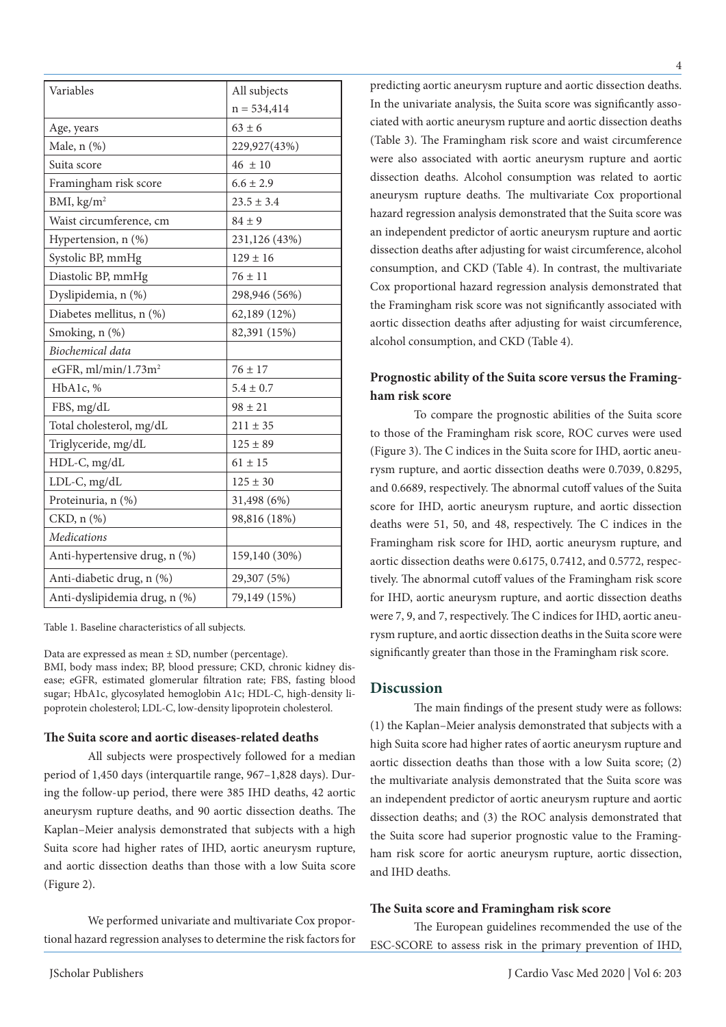| Variables                       | All subjects   |  |
|---------------------------------|----------------|--|
|                                 | $n = 534,414$  |  |
| Age, years                      | $63 \pm 6$     |  |
| Male, $n$ $(\%)$                | 229,927(43%)   |  |
| Suita score                     | $46 \pm 10$    |  |
| Framingham risk score           | $6.6 \pm 2.9$  |  |
| BMI, $\text{kg/m}^2$            | $23.5 \pm 3.4$ |  |
| Waist circumference, cm         | $84 \pm 9$     |  |
| Hypertension, n (%)             | 231,126 (43%)  |  |
| Systolic BP, mmHg               | $129 \pm 16$   |  |
| Diastolic BP, mmHg              | $76 \pm 11$    |  |
| Dyslipidemia, n (%)             | 298,946 (56%)  |  |
| Diabetes mellitus, n (%)        | 62,189 (12%)   |  |
| Smoking, n (%)                  | 82,391 (15%)   |  |
| Biochemical data                |                |  |
| eGFR, ml/min/1.73m <sup>2</sup> | $76 \pm 17$    |  |
| HbA1c, %                        | $5.4 \pm 0.7$  |  |
| FBS, mg/dL                      | $98 \pm 21$    |  |
| Total cholesterol, mg/dL        | $211 \pm 35$   |  |
| Triglyceride, mg/dL             | $125 \pm 89$   |  |
| HDL-C, mg/dL                    | $61 \pm 15$    |  |
| LDL-C, mg/dL                    | $125 \pm 30$   |  |
| Proteinuria, n (%)              | 31,498 (6%)    |  |
| CKD, n (%)                      | 98,816 (18%)   |  |
| <b>Medications</b>              |                |  |
| Anti-hypertensive drug, n (%)   | 159,140 (30%)  |  |
| Anti-diabetic drug, n (%)       | 29,307 (5%)    |  |
| Anti-dyslipidemia drug, n (%)   | 79,149 (15%)   |  |

Table 1. Baseline characteristics of all subjects.

Data are expressed as mean ± SD, number (percentage).

BMI, body mass index; BP, blood pressure; CKD, chronic kidney disease; eGFR, estimated glomerular filtration rate; FBS, fasting blood sugar; HbA1c, glycosylated hemoglobin A1c; HDL-C, high-density lipoprotein cholesterol; LDL-C, low-density lipoprotein cholesterol.

## **The Suita score and aortic diseases-related deaths**

All subjects were prospectively followed for a median period of 1,450 days (interquartile range, 967–1,828 days). During the follow-up period, there were 385 IHD deaths, 42 aortic aneurysm rupture deaths, and 90 aortic dissection deaths. The Kaplan–Meier analysis demonstrated that subjects with a high Suita score had higher rates of IHD, aortic aneurysm rupture, and aortic dissection deaths than those with a low Suita score (Figure 2).

We performed univariate and multivariate Cox proportional hazard regression analyses to determine the risk factors for predicting aortic aneurysm rupture and aortic dissection deaths. In the univariate analysis, the Suita score was significantly associated with aortic aneurysm rupture and aortic dissection deaths (Table 3). The Framingham risk score and waist circumference were also associated with aortic aneurysm rupture and aortic dissection deaths. Alcohol consumption was related to aortic aneurysm rupture deaths. The multivariate Cox proportional hazard regression analysis demonstrated that the Suita score was an independent predictor of aortic aneurysm rupture and aortic dissection deaths after adjusting for waist circumference, alcohol consumption, and CKD (Table 4). In contrast, the multivariate Cox proportional hazard regression analysis demonstrated that the Framingham risk score was not significantly associated with aortic dissection deaths after adjusting for waist circumference, alcohol consumption, and CKD (Table 4).

## **Prognostic ability of the Suita score versus the Framingham risk score**

To compare the prognostic abilities of the Suita score to those of the Framingham risk score, ROC curves were used (Figure 3). The C indices in the Suita score for IHD, aortic aneurysm rupture, and aortic dissection deaths were 0.7039, 0.8295, and 0.6689, respectively. The abnormal cutoff values of the Suita score for IHD, aortic aneurysm rupture, and aortic dissection deaths were 51, 50, and 48, respectively. The C indices in the Framingham risk score for IHD, aortic aneurysm rupture, and aortic dissection deaths were 0.6175, 0.7412, and 0.5772, respectively. The abnormal cutoff values of the Framingham risk score for IHD, aortic aneurysm rupture, and aortic dissection deaths were 7, 9, and 7, respectively. The C indices for IHD, aortic aneurysm rupture, and aortic dissection deaths in the Suita score were significantly greater than those in the Framingham risk score.

## **Discussion**

The main findings of the present study were as follows: (1) the Kaplan–Meier analysis demonstrated that subjects with a high Suita score had higher rates of aortic aneurysm rupture and aortic dissection deaths than those with a low Suita score; (2) the multivariate analysis demonstrated that the Suita score was an independent predictor of aortic aneurysm rupture and aortic dissection deaths; and (3) the ROC analysis demonstrated that the Suita score had superior prognostic value to the Framingham risk score for aortic aneurysm rupture, aortic dissection, and IHD deaths.

## **The Suita score and Framingham risk score**

The European guidelines recommended the use of the ESC-SCORE to assess risk in the primary prevention of IHD,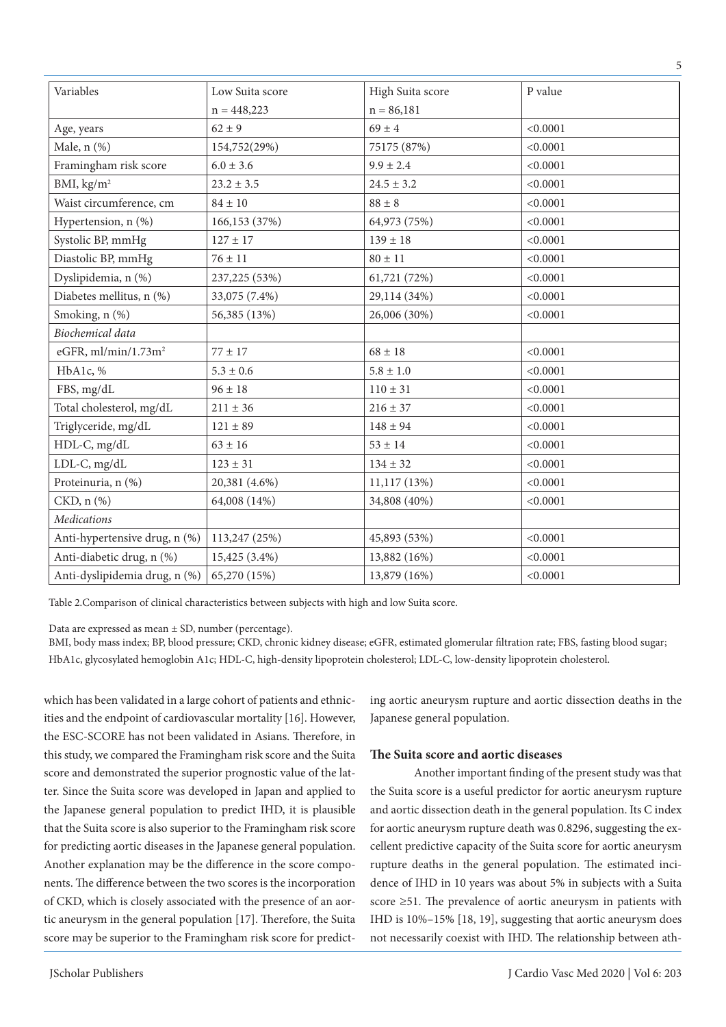| Variables                     | Low Suita score | High Suita score | P value  |
|-------------------------------|-----------------|------------------|----------|
|                               | $n = 448,223$   | $n = 86,181$     |          |
| Age, years                    | $62 \pm 9$      | $69 \pm 4$       | < 0.0001 |
| Male, n (%)                   | 154,752(29%)    | 75175 (87%)      | < 0.0001 |
| Framingham risk score         | $6.0 \pm 3.6$   | $9.9 \pm 2.4$    | < 0.0001 |
| BMI, $\text{kg/m}^2$          | $23.2 \pm 3.5$  | $24.5 \pm 3.2$   | < 0.0001 |
| Waist circumference, cm       | $84\pm10$       | $88 \pm 8$       | < 0.0001 |
| Hypertension, n (%)           | 166,153 (37%)   | 64,973 (75%)     | < 0.0001 |
| Systolic BP, mmHg             | $127 \pm 17$    | $139 \pm 18$     | < 0.0001 |
| Diastolic BP, mmHg            | $76 \pm 11$     | $80 \pm 11$      | < 0.0001 |
| Dyslipidemia, n (%)           | 237,225 (53%)   | 61,721 (72%)     | < 0.0001 |
| Diabetes mellitus, n (%)      | 33,075 (7.4%)   | 29,114 (34%)     | < 0.0001 |
| Smoking, n (%)                | 56,385 (13%)    | 26,006 (30%)     | < 0.0001 |
| Biochemical data              |                 |                  |          |
| eGFR, $ml/min/1.73m2$         | $77 \pm 17$     | $68 \pm 18$      | < 0.0001 |
| HbA1c, %                      | $5.3 \pm 0.6$   | $5.8 \pm 1.0$    | < 0.0001 |
| FBS, mg/dL                    | $96 \pm 18$     | $110 \pm 31$     | < 0.0001 |
| Total cholesterol, mg/dL      | $211 \pm 36$    | $216 \pm 37$     | < 0.0001 |
| Triglyceride, mg/dL           | $121 \pm 89$    | $148 \pm 94$     | < 0.0001 |
| HDL-C, mg/dL                  | $63 \pm 16$     | $53 \pm 14$      | < 0.0001 |
| LDL-C, mg/dL                  | $123 \pm 31$    | $134 \pm 32$     | < 0.0001 |
| Proteinuria, n (%)            | 20,381 (4.6%)   | 11,117(13%)      | < 0.0001 |
| CKD, n (%)                    | 64,008 (14%)    | 34,808 (40%)     | < 0.0001 |
| <b>Medications</b>            |                 |                  |          |
| Anti-hypertensive drug, n (%) | 113,247 (25%)   | 45,893 (53%)     | < 0.0001 |
| Anti-diabetic drug, n (%)     | 15,425 (3.4%)   | 13,882 (16%)     | < 0.0001 |
| Anti-dyslipidemia drug, n (%) | 65,270 (15%)    | 13,879 (16%)     | < 0.0001 |
|                               |                 |                  |          |

Table 2.Comparison of clinical characteristics between subjects with high and low Suita score.

Data are expressed as mean ± SD, number (percentage).

BMI, body mass index; BP, blood pressure; CKD, chronic kidney disease; eGFR, estimated glomerular filtration rate; FBS, fasting blood sugar; HbA1c, glycosylated hemoglobin A1c; HDL-C, high-density lipoprotein cholesterol; LDL-C, low-density lipoprotein cholesterol.

which has been validated in a large cohort of patients and ethnicities and the endpoint of cardiovascular mortality [16]. However, the ESC-SCORE has not been validated in Asians. Therefore, in this study, we compared the Framingham risk score and the Suita score and demonstrated the superior prognostic value of the latter. Since the Suita score was developed in Japan and applied to the Japanese general population to predict IHD, it is plausible that the Suita score is also superior to the Framingham risk score for predicting aortic diseases in the Japanese general population. Another explanation may be the difference in the score components. The difference between the two scores is the incorporation of CKD, which is closely associated with the presence of an aortic aneurysm in the general population [17]. Therefore, the Suita score may be superior to the Framingham risk score for predicting aortic aneurysm rupture and aortic dissection deaths in the Japanese general population.

## **The Suita score and aortic diseases**

Another important finding of the present study was that the Suita score is a useful predictor for aortic aneurysm rupture and aortic dissection death in the general population. Its C index for aortic aneurysm rupture death was 0.8296, suggesting the excellent predictive capacity of the Suita score for aortic aneurysm rupture deaths in the general population. The estimated incidence of IHD in 10 years was about 5% in subjects with a Suita score ≥51. The prevalence of aortic aneurysm in patients with IHD is 10%–15% [18, 19], suggesting that aortic aneurysm does not necessarily coexist with IHD. The relationship between ath-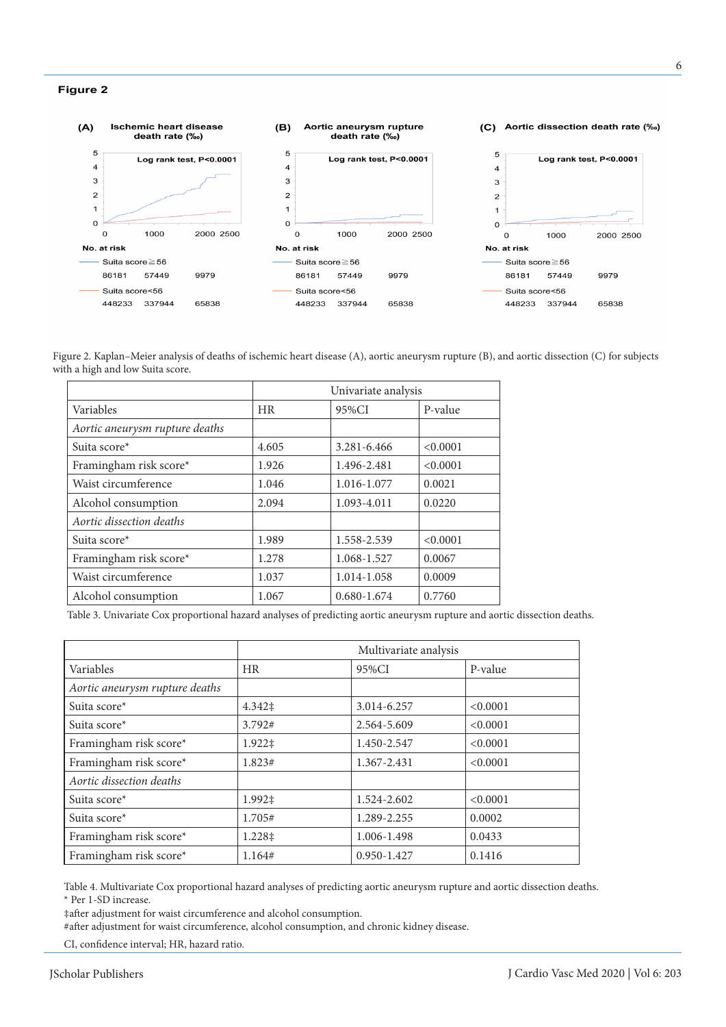#### Figure 2



Figure 2. Kaplan–Meier analysis of deaths of ischemic heart disease (A), aortic aneurysm rupture (B), and aortic dissection (C) for subjects with a high and low Suita score.

|                                | Univariate analysis |                 |          |
|--------------------------------|---------------------|-----------------|----------|
| Variables                      | <b>HR</b>           | 95%CI           | P-value  |
| Aortic aneurysm rupture deaths |                     |                 |          |
| Suita score*                   | 4.605               | 3.281-6.466     | < 0.0001 |
| Framingham risk score*         | 1.926               | 1.496-2.481     | < 0.0001 |
| Waist circumference            | 1.046               | 1.016-1.077     | 0.0021   |
| Alcohol consumption            | 2.094               | 1.093-4.011     | 0.0220   |
| Aortic dissection deaths       |                     |                 |          |
| Suita score*                   | 1.989               | 1.558-2.539     | < 0.0001 |
| Framingham risk score*         | 1.278               | 1.068-1.527     | 0.0067   |
| Waist circumference            | 1.037               | 1.014-1.058     | 0.0009   |
| Alcohol consumption            | 1.067               | $0.680 - 1.674$ | 0.7760   |

Table 3. Univariate Cox proportional hazard analyses of predicting aortic aneurysm rupture and aortic dissection deaths.

|                                | Multivariate analysis |                 |          |
|--------------------------------|-----------------------|-----------------|----------|
| Variables                      | HR                    | 95%CI           | P-value  |
| Aortic aneurysm rupture deaths |                       |                 |          |
| Suita score*                   | 4.342‡                | 3.014-6.257     | < 0.0001 |
| Suita score*                   | 3.792#                | 2.564-5.609     | < 0.0001 |
| Framingham risk score*         | 1.922‡                | 1.450-2.547     | < 0.0001 |
| Framingham risk score*         | 1.823#                | 1.367-2.431     | < 0.0001 |
| Aortic dissection deaths       |                       |                 |          |
| Suita score*                   | 1.992‡                | 1.524-2.602     | < 0.0001 |
| Suita score*                   | 1.705#                | 1.289-2.255     | 0.0002   |
| Framingham risk score*         | 1.228‡                | 1.006-1.498     | 0.0433   |
| Framingham risk score*         | 1.164#                | $0.950 - 1.427$ | 0.1416   |

Table 4. Multivariate Cox proportional hazard analyses of predicting aortic aneurysm rupture and aortic dissection deaths. \* Per 1-SD increase.

‡after adjustment for waist circumference and alcohol consumption.

#after adjustment for waist circumference, alcohol consumption, and chronic kidney disease.

CI, confidence interval; HR, hazard ratio.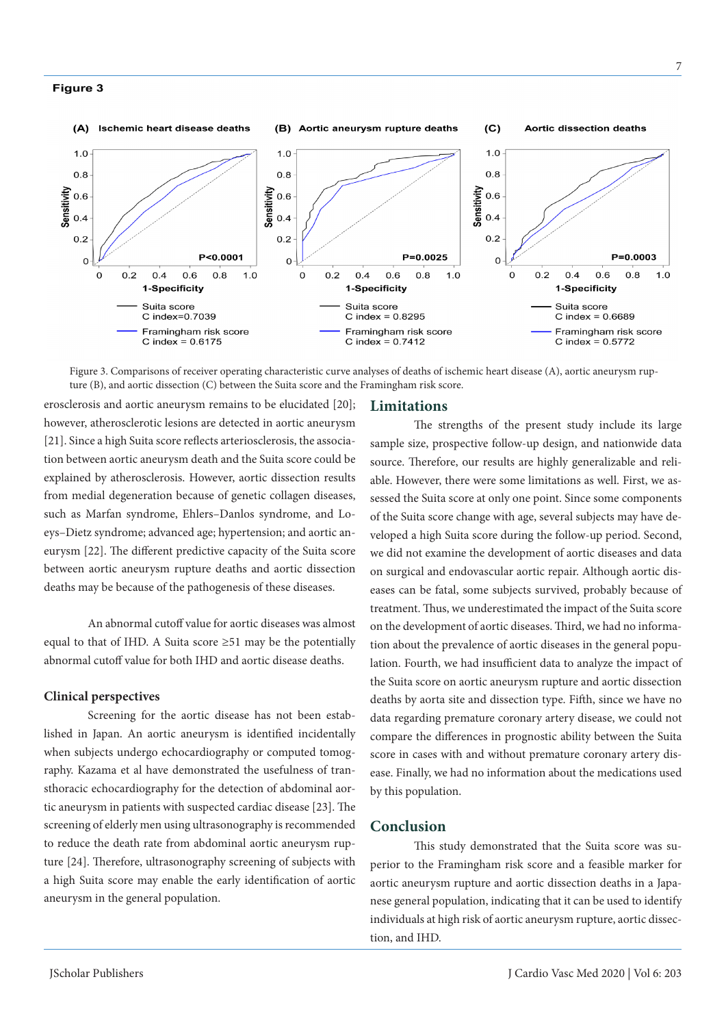#### Figure 3



Figure 3. Comparisons of receiver operating characteristic curve analyses of deaths of ischemic heart disease (A), aortic aneurysm rupture (B), and aortic dissection (C) between the Suita score and the Framingham risk score.

erosclerosis and aortic aneurysm remains to be elucidated [20]; however, atherosclerotic lesions are detected in aortic aneurysm [21]. Since a high Suita score reflects arteriosclerosis, the association between aortic aneurysm death and the Suita score could be explained by atherosclerosis. However, aortic dissection results from medial degeneration because of genetic collagen diseases, such as Marfan syndrome, Ehlers–Danlos syndrome, and Loeys–Dietz syndrome; advanced age; hypertension; and aortic aneurysm [22]. The different predictive capacity of the Suita score between aortic aneurysm rupture deaths and aortic dissection deaths may be because of the pathogenesis of these diseases.

An abnormal cutoff value for aortic diseases was almost equal to that of IHD. A Suita score  $\geq 51$  may be the potentially abnormal cutoff value for both IHD and aortic disease deaths.

#### **Clinical perspectives**

Screening for the aortic disease has not been established in Japan. An aortic aneurysm is identified incidentally when subjects undergo echocardiography or computed tomography. Kazama et al have demonstrated the usefulness of transthoracic echocardiography for the detection of abdominal aortic aneurysm in patients with suspected cardiac disease [23]. The screening of elderly men using ultrasonography is recommended to reduce the death rate from abdominal aortic aneurysm rupture [24]. Therefore, ultrasonography screening of subjects with a high Suita score may enable the early identification of aortic aneurysm in the general population.

## **Limitations**

The strengths of the present study include its large sample size, prospective follow-up design, and nationwide data source. Therefore, our results are highly generalizable and reliable. However, there were some limitations as well. First, we assessed the Suita score at only one point. Since some components of the Suita score change with age, several subjects may have developed a high Suita score during the follow-up period. Second, we did not examine the development of aortic diseases and data on surgical and endovascular aortic repair. Although aortic diseases can be fatal, some subjects survived, probably because of treatment. Thus, we underestimated the impact of the Suita score on the development of aortic diseases. Third, we had no information about the prevalence of aortic diseases in the general population. Fourth, we had insufficient data to analyze the impact of the Suita score on aortic aneurysm rupture and aortic dissection deaths by aorta site and dissection type. Fifth, since we have no data regarding premature coronary artery disease, we could not compare the differences in prognostic ability between the Suita score in cases with and without premature coronary artery disease. Finally, we had no information about the medications used by this population.

## **Conclusion**

This study demonstrated that the Suita score was superior to the Framingham risk score and a feasible marker for aortic aneurysm rupture and aortic dissection deaths in a Japanese general population, indicating that it can be used to identify individuals at high risk of aortic aneurysm rupture, aortic dissection, and IHD.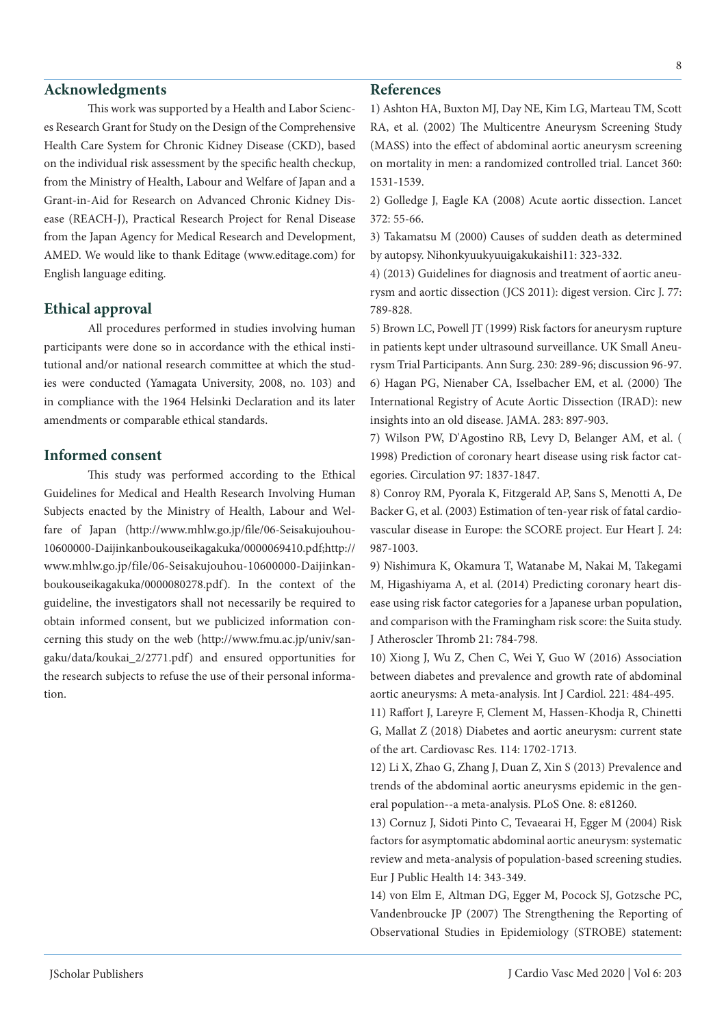## **Acknowledgments**

This work was supported by a Health and Labor Sciences Research Grant for Study on the Design of the Comprehensive Health Care System for Chronic Kidney Disease (CKD), based on the individual risk assessment by the specific health checkup, from the Ministry of Health, Labour and Welfare of Japan and a Grant-in-Aid for Research on Advanced Chronic Kidney Disease (REACH-J), Practical Research Project for Renal Disease from the Japan Agency for Medical Research and Development, AMED. We would like to thank Editage (www.editage.com) for English language editing.

## **Ethical approval**

All procedures performed in studies involving human participants were done so in accordance with the ethical institutional and/or national research committee at which the studies were conducted (Yamagata University, 2008, no. 103) and in compliance with the 1964 Helsinki Declaration and its later amendments or comparable ethical standards.

## **Informed consent**

This study was performed according to the Ethical Guidelines for Medical and Health Research Involving Human Subjects enacted by the Ministry of Health, Labour and Welfare of Japan (http://www.mhlw.go.jp/file/06-Seisakujouhou-10600000-Daijinkanboukouseikagakuka/0000069410.pdf;http:// www.mhlw.go.jp/file/06-Seisakujouhou-10600000-Daijinkanboukouseikagakuka/0000080278.pdf). In the context of the guideline, the investigators shall not necessarily be required to obtain informed consent, but we publicized information concerning this study on the web (http://www.fmu.ac.jp/univ/sangaku/data/koukai\_2/2771.pdf) and ensured opportunities for the research subjects to refuse the use of their personal information.

## **References**

1) Ashton HA, Buxton MJ, Day NE, Kim LG, Marteau TM, Scott RA, et al. (2002) The Multicentre Aneurysm Screening Study (MASS) into the effect of abdominal aortic aneurysm screening on mortality in men: a randomized controlled trial. Lancet 360: 1531-1539.

2) Golledge J, Eagle KA (2008) Acute aortic dissection. Lancet 372: 55-66.

3) Takamatsu M (2000) Causes of sudden death as determined by autopsy. Nihonkyuukyuuigakukaishi11: 323-332.

4) (2013) Guidelines for diagnosis and treatment of aortic aneurysm and aortic dissection (JCS 2011): digest version. Circ J. 77: 789-828.

5) Brown LC, Powell JT (1999) Risk factors for aneurysm rupture in patients kept under ultrasound surveillance. UK Small Aneurysm Trial Participants. Ann Surg. 230: 289-96; discussion 96-97. 6) Hagan PG, Nienaber CA, Isselbacher EM, et al. (2000) The International Registry of Acute Aortic Dissection (IRAD): new insights into an old disease. JAMA. 283: 897-903.

7) Wilson PW, D'Agostino RB, Levy D, Belanger AM, et al. ( 1998) Prediction of coronary heart disease using risk factor categories. Circulation 97: 1837-1847.

8) Conroy RM, Pyorala K, Fitzgerald AP, Sans S, Menotti A, De Backer G, et al. (2003) Estimation of ten-year risk of fatal cardiovascular disease in Europe: the SCORE project. Eur Heart J. 24: 987-1003.

9) Nishimura K, Okamura T, Watanabe M, Nakai M, Takegami M, Higashiyama A, et al. (2014) Predicting coronary heart disease using risk factor categories for a Japanese urban population, and comparison with the Framingham risk score: the Suita study. J Atheroscler Thromb 21: 784-798.

10) Xiong J, Wu Z, Chen C, Wei Y, Guo W (2016) Association between diabetes and prevalence and growth rate of abdominal aortic aneurysms: A meta-analysis. Int J Cardiol. 221: 484-495.

11) Raffort J, Lareyre F, Clement M, Hassen-Khodja R, Chinetti G, Mallat Z (2018) Diabetes and aortic aneurysm: current state of the art. Cardiovasc Res. 114: 1702-1713.

12) Li X, Zhao G, Zhang J, Duan Z, Xin S (2013) Prevalence and trends of the abdominal aortic aneurysms epidemic in the general population--a meta-analysis. PLoS One. 8: e81260.

13) Cornuz J, Sidoti Pinto C, Tevaearai H, Egger M (2004) Risk factors for asymptomatic abdominal aortic aneurysm: systematic review and meta-analysis of population-based screening studies. Eur J Public Health 14: 343-349.

14) von Elm E, Altman DG, Egger M, Pocock SJ, Gotzsche PC, Vandenbroucke JP (2007) The Strengthening the Reporting of Observational Studies in Epidemiology (STROBE) statement: